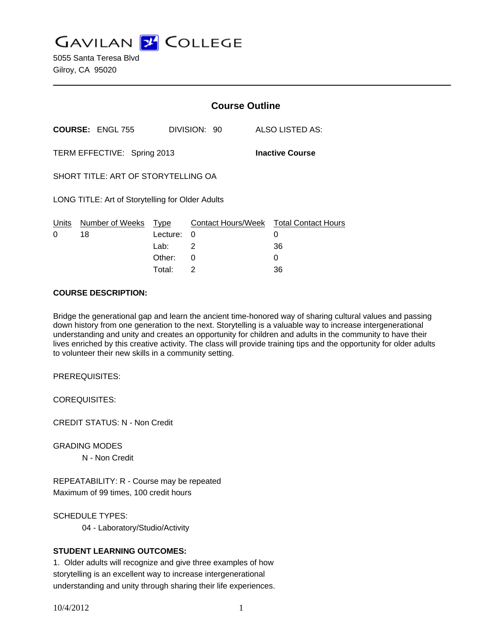**GAVILAN Z COLLEGE** 

5055 Santa Teresa Blvd Gilroy, CA 95020

|                                                       |                         | <b>Course Outline</b> |                                |  |                                 |
|-------------------------------------------------------|-------------------------|-----------------------|--------------------------------|--|---------------------------------|
|                                                       | <b>COURSE: ENGL 755</b> |                       | DIVISION: 90                   |  | ALSO LISTED AS:                 |
| TERM EFFECTIVE: Spring 2013<br><b>Inactive Course</b> |                         |                       |                                |  |                                 |
| SHORT TITLE: ART OF STORYTELLING OA                   |                         |                       |                                |  |                                 |
| LONG TITLE: Art of Storytelling for Older Adults      |                         |                       |                                |  |                                 |
| Units<br>0                                            | Number of Weeks<br>18   | Type<br>Lecture:      | <b>Contact Hours/Week</b><br>0 |  | <b>Total Contact Hours</b><br>0 |
|                                                       |                         | Lab:<br>Other:        | 2<br>0                         |  | 36<br>O                         |

Total: 2 36

## **COURSE DESCRIPTION:**

Bridge the generational gap and learn the ancient time-honored way of sharing cultural values and passing down history from one generation to the next. Storytelling is a valuable way to increase intergenerational understanding and unity and creates an opportunity for children and adults in the community to have their lives enriched by this creative activity. The class will provide training tips and the opportunity for older adults to volunteer their new skills in a community setting.

PREREQUISITES:

COREQUISITES:

CREDIT STATUS: N - Non Credit

GRADING MODES N - Non Credit

REPEATABILITY: R - Course may be repeated Maximum of 99 times, 100 credit hours

SCHEDULE TYPES:

04 - Laboratory/Studio/Activity

# **STUDENT LEARNING OUTCOMES:**

1. Older adults will recognize and give three examples of how storytelling is an excellent way to increase intergenerational understanding and unity through sharing their life experiences.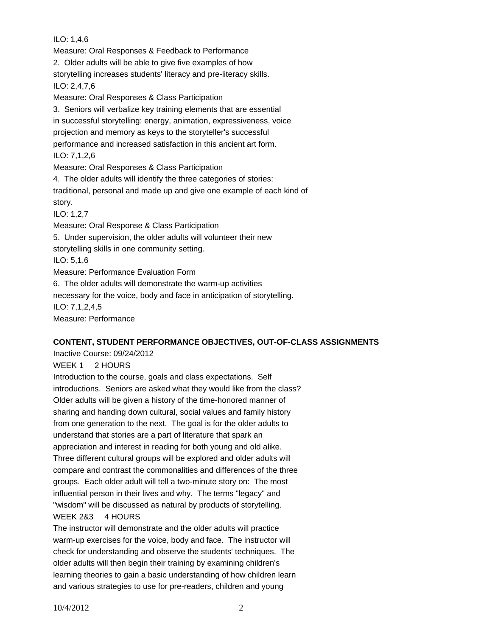ILO: 1,4,6 Measure: Oral Responses & Feedback to Performance 2. Older adults will be able to give five examples of how storytelling increases students' literacy and pre-literacy skills. ILO: 2,4,7,6 Measure: Oral Responses & Class Participation 3. Seniors will verbalize key training elements that are essential in successful storytelling: energy, animation, expressiveness, voice projection and memory as keys to the storyteller's successful performance and increased satisfaction in this ancient art form. ILO: 7,1,2,6 Measure: Oral Responses & Class Participation 4. The older adults will identify the three categories of stories: traditional, personal and made up and give one example of each kind of story. ILO: 1,2,7 Measure: Oral Response & Class Participation 5. Under supervision, the older adults will volunteer their new storytelling skills in one community setting. ILO: 5,1,6 Measure: Performance Evaluation Form 6. The older adults will demonstrate the warm-up activities necessary for the voice, body and face in anticipation of storytelling. ILO: 7,1,2,4,5 Measure: Performance

# **CONTENT, STUDENT PERFORMANCE OBJECTIVES, OUT-OF-CLASS ASSIGNMENTS**

Inactive Course: 09/24/2012

WEEK 1 2 HOURS

Introduction to the course, goals and class expectations. Self introductions. Seniors are asked what they would like from the class? Older adults will be given a history of the time-honored manner of sharing and handing down cultural, social values and family history from one generation to the next. The goal is for the older adults to understand that stories are a part of literature that spark an appreciation and interest in reading for both young and old alike. Three different cultural groups will be explored and older adults will compare and contrast the commonalities and differences of the three groups. Each older adult will tell a two-minute story on: The most influential person in their lives and why. The terms "legacy" and "wisdom" will be discussed as natural by products of storytelling.

# WEEK 2&3 4 HOURS

The instructor will demonstrate and the older adults will practice warm-up exercises for the voice, body and face. The instructor will check for understanding and observe the students' techniques. The older adults will then begin their training by examining children's learning theories to gain a basic understanding of how children learn and various strategies to use for pre-readers, children and young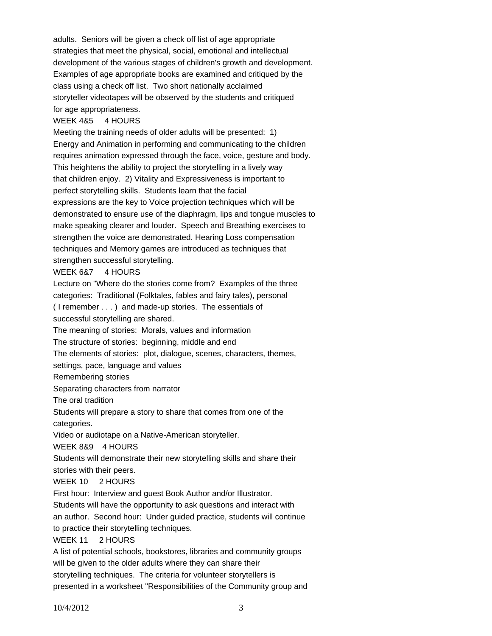adults. Seniors will be given a check off list of age appropriate strategies that meet the physical, social, emotional and intellectual development of the various stages of children's growth and development. Examples of age appropriate books are examined and critiqued by the class using a check off list. Two short nationally acclaimed storyteller videotapes will be observed by the students and critiqued for age appropriateness.

#### WEEK 4&5 4 HOURS

Meeting the training needs of older adults will be presented: 1) Energy and Animation in performing and communicating to the children requires animation expressed through the face, voice, gesture and body. This heightens the ability to project the storytelling in a lively way that children enjoy. 2) Vitality and Expressiveness is important to perfect storytelling skills. Students learn that the facial expressions are the key to Voice projection techniques which will be demonstrated to ensure use of the diaphragm, lips and tongue muscles to make speaking clearer and louder. Speech and Breathing exercises to strengthen the voice are demonstrated. Hearing Loss compensation techniques and Memory games are introduced as techniques that strengthen successful storytelling.

#### WEEK 6&7 4 HOURS

Lecture on "Where do the stories come from? Examples of the three categories: Traditional (Folktales, fables and fairy tales), personal ( I remember . . . ) and made-up stories. The essentials of successful storytelling are shared. The meaning of stories: Morals, values and information The structure of stories: beginning, middle and end The elements of stories: plot, dialogue, scenes, characters, themes, settings, pace, language and values Remembering stories Separating characters from narrator The oral tradition Students will prepare a story to share that comes from one of the categories. Video or audiotape on a Native-American storyteller. WEEK 8&9 4 HOURS Students will demonstrate their new storytelling skills and share their stories with their peers. WEEK 10 2 HOURS First hour: Interview and guest Book Author and/or Illustrator. Students will have the opportunity to ask questions and interact with an author. Second hour: Under guided practice, students will continue to practice their storytelling techniques. WEEK 11 2 HOURS A list of potential schools, bookstores, libraries and community groups will be given to the older adults where they can share their storytelling techniques. The criteria for volunteer storytellers is presented in a worksheet "Responsibilities of the Community group and

10/4/2012 3